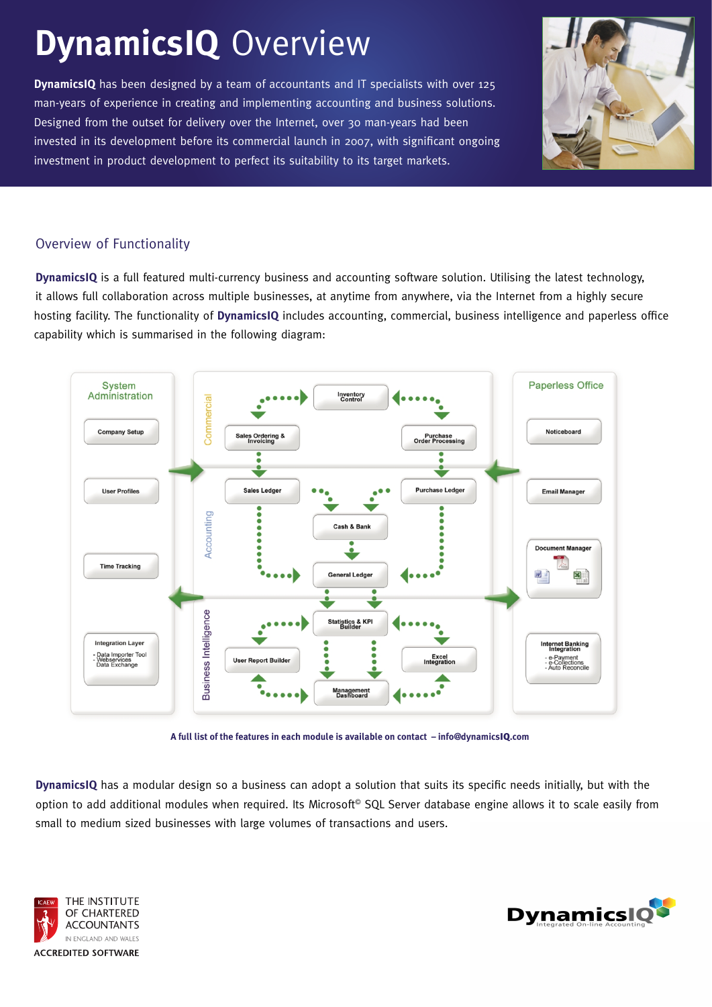## **DynamicsIQ** Overview

man-years of experience in creating and implementing accounting and business solutions. Designed from the outset for delivery over the Internet, over 30 man-years had been invested in its development before its commercial launch in 2007, with significant ongoing investment in product development to perfect its suitability to its target markets. **DynamicsIQ** has been designed by a team of accountants and IT specialists with over 125



## Overview of Functionality

it allows full collaboration across multiple businesses, at anytime from anywhere, via the Internet from a highly secure hosting facility. The functionality of DynamicsIQ includes accounting, commercial, business intelligence and paperless office capability which is summarised in the following diagram: **DynamicsIQ** is a full featured multi-currency business and accounting software solution. Utilising the latest technology,





option to add additional modules when required. Its Microsoft<sup>©</sup> SQL Server database engine allows it to scale easily from small to medium sized businesses with large volumes of transactions and users. **DynamicsIQ** has a modular design so a business can adopt a solution that suits its specific needs initially, but with the